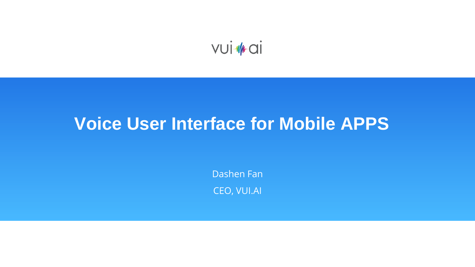

## **Voice User Interface for Mobile APPS**

Dashen Fan CEO, VUI.AI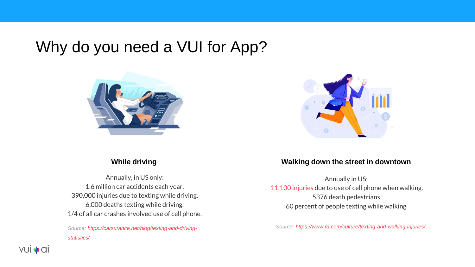Why do you need a VUI for App?



Annually, in US only: 1.6 million car accidents each year. 390,000 injuries due to texting while driving. 6,000 deaths texting while driving. 1/4 of all car crashes involved use of cell phone.

*[Source: https://carsurance.net/blog/texting-and-driving](https://carsurance.net/blog/texting-and-driving-statistics/)statistics/*



#### **While driving Walking down the street in downtown**

Annually in US: [11,100 injuries](http://www.nsc.org/learn/safety-knowledge/Pages/news-and-resources-pedestrian-safety.aspx) due to use of cell phone when walking. 5376 death pedestrians 60 percent of people texting while walking

*Source:<https://www.rd.com/culture/texting-and-walking-injuries/>*

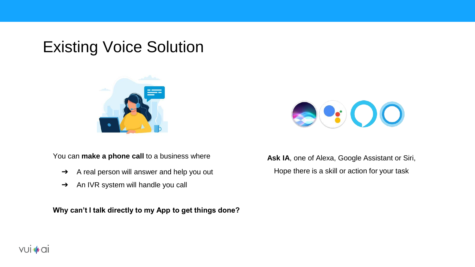### Existing Voice Solution



You can **make a phone call** to a business where

- ➔ A real person will answer and help you out
- → An IVR system will handle you call

**Why can't I talk directly to my App to get things done?** 



**Ask IA**, one of Alexa, Google Assistant or Siri, Hope there is a skill or action for your task

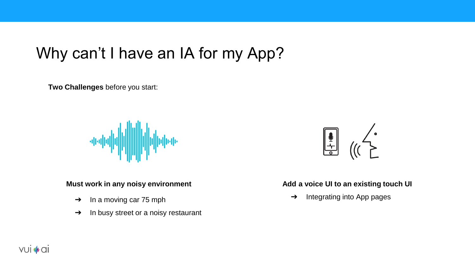### Why can't I have an IA for my App?

**Two Challenges** before you start:



#### **Must work in any noisy environment**

- $\rightarrow$  In a moving car 75 mph
- $\rightarrow$  In busy street or a noisy restaurant



#### **Add a voice UI to an existing touch UI**

➔ Integrating into App pages

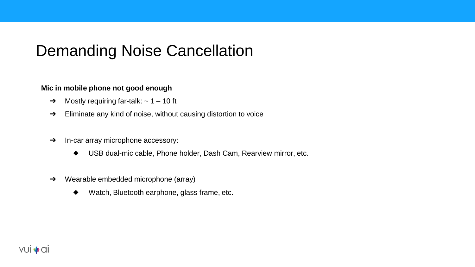### Demanding Noise Cancellation

#### **Mic in mobile phone not good enough**

- $\rightarrow$  Mostly requiring far-talk:  $\sim$  1 10 ft
- ➔ Eliminate any kind of noise, without causing distortion to voice
- → In-car array microphone accessory:
	- ◆ USB dual-mic cable, Phone holder, Dash Cam, Rearview mirror, etc.
- ➔ Wearable embedded microphone (array)
	- Watch, Bluetooth earphone, glass frame, etc.

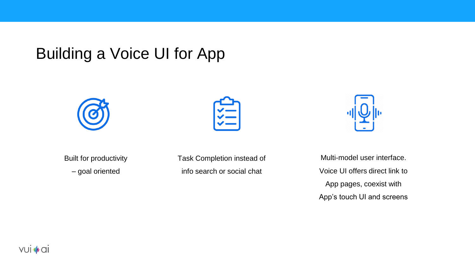### Building a Voice UI for App





Built for productivity

– goal oriented

Task Completion instead of info search or social chat

Multi-model user interface. Voice UI offers direct link to App pages, coexist with App's touch UI and screens

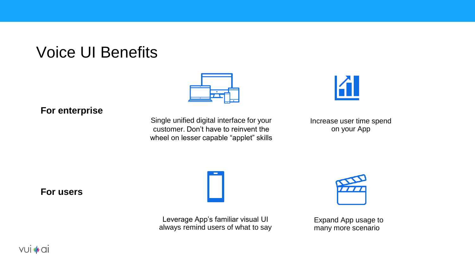### Voice UI Benefits



#### **For enterprise**

Single unified digital interface for your customer. Don't have to reinvent the wheel on lesser capable "applet" skills



Increase user time spend on your App

**For users**

Leverage App's familiar visual UI always remind users of what to say



Expand App usage to many more scenario

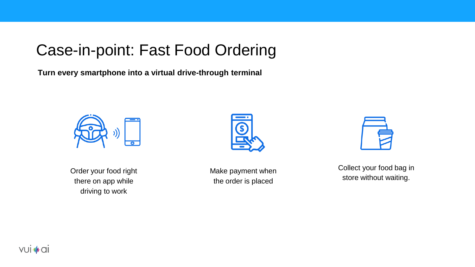### Case-in-point: Fast Food Ordering

**Turn every smartphone into a virtual drive-through terminal**



Order your food right there on app while driving to work



Make payment when the order is placed

Collect your food bag in store without waiting.

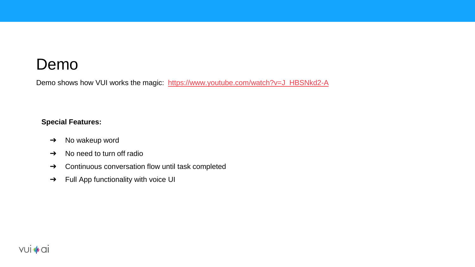### Demo

Demo shows how VUI works the magic: [https://www.youtube.com/watch?v=J\\_HBSNkd2-A](https://www.youtube.com/watch?v=J_HBSNkd2-A)

#### **Special Features:**

- ➔ No wakeup word
- $\rightarrow$  No need to turn off radio
- ➔ Continuous conversation flow until task completed
- ➔ Full App functionality with voice UI

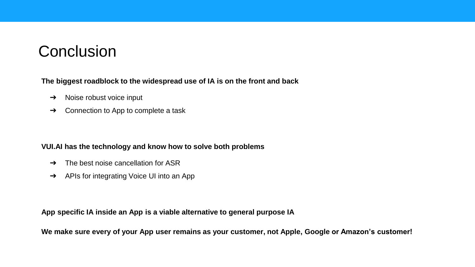### **Conclusion**

**The biggest roadblock to the widespread use of IA is on the front and back**

- ➔ Noise robust voice input
- ➔ Connection to App to complete a task

#### **VUI.AI has the technology and know how to solve both problems**

- $\rightarrow$  The best noise cancellation for ASR
- ➔ APIs for integrating Voice UI into an App

**App specific IA inside an App is a viable alternative to general purpose IA**

**We make sure every of your App user remains as your customer, not Apple, Google or Amazon's customer!**